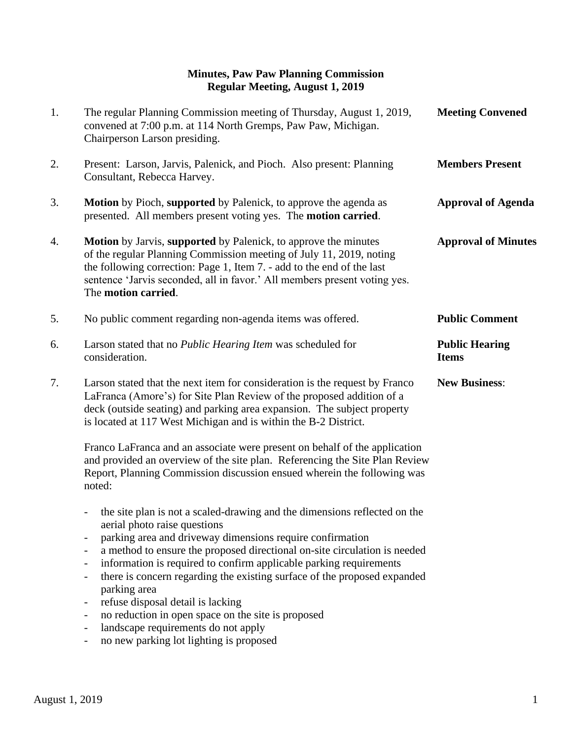## **Minutes, Paw Paw Planning Commission Regular Meeting, August 1, 2019**

| 1. | The regular Planning Commission meeting of Thursday, August 1, 2019,<br>convened at 7:00 p.m. at 114 North Gremps, Paw Paw, Michigan.<br>Chairperson Larson presiding.                                                                                                                                                                                                                                                                                                                                                                                                                                                                                                                                                                                                                                                       | <b>Meeting Convened</b>               |
|----|------------------------------------------------------------------------------------------------------------------------------------------------------------------------------------------------------------------------------------------------------------------------------------------------------------------------------------------------------------------------------------------------------------------------------------------------------------------------------------------------------------------------------------------------------------------------------------------------------------------------------------------------------------------------------------------------------------------------------------------------------------------------------------------------------------------------------|---------------------------------------|
| 2. | Present: Larson, Jarvis, Palenick, and Pioch. Also present: Planning<br>Consultant, Rebecca Harvey.                                                                                                                                                                                                                                                                                                                                                                                                                                                                                                                                                                                                                                                                                                                          | <b>Members Present</b>                |
| 3. | <b>Motion</b> by Pioch, supported by Palenick, to approve the agenda as<br>presented. All members present voting yes. The motion carried.                                                                                                                                                                                                                                                                                                                                                                                                                                                                                                                                                                                                                                                                                    | <b>Approval of Agenda</b>             |
| 4. | <b>Motion</b> by Jarvis, supported by Palenick, to approve the minutes<br>of the regular Planning Commission meeting of July 11, 2019, noting<br>the following correction: Page 1, Item 7. - add to the end of the last<br>sentence 'Jarvis seconded, all in favor.' All members present voting yes.<br>The motion carried.                                                                                                                                                                                                                                                                                                                                                                                                                                                                                                  | <b>Approval of Minutes</b>            |
| 5. | No public comment regarding non-agenda items was offered.                                                                                                                                                                                                                                                                                                                                                                                                                                                                                                                                                                                                                                                                                                                                                                    | <b>Public Comment</b>                 |
| 6. | Larson stated that no Public Hearing Item was scheduled for<br>consideration.                                                                                                                                                                                                                                                                                                                                                                                                                                                                                                                                                                                                                                                                                                                                                | <b>Public Hearing</b><br><b>Items</b> |
| 7. | Larson stated that the next item for consideration is the request by Franco<br>LaFranca (Amore's) for Site Plan Review of the proposed addition of a<br>deck (outside seating) and parking area expansion. The subject property<br>is located at 117 West Michigan and is within the B-2 District.                                                                                                                                                                                                                                                                                                                                                                                                                                                                                                                           | <b>New Business:</b>                  |
|    | Franco LaFranca and an associate were present on behalf of the application<br>and provided an overview of the site plan. Referencing the Site Plan Review<br>Report, Planning Commission discussion ensued wherein the following was<br>noted:                                                                                                                                                                                                                                                                                                                                                                                                                                                                                                                                                                               |                                       |
|    | the site plan is not a scaled-drawing and the dimensions reflected on the<br>$\overline{\phantom{a}}$<br>aerial photo raise questions<br>parking area and driveway dimensions require confirmation<br>a method to ensure the proposed directional on-site circulation is needed<br>$\overline{\phantom{a}}$<br>information is required to confirm applicable parking requirements<br>$\overline{\phantom{a}}$<br>there is concern regarding the existing surface of the proposed expanded<br>$\overline{\phantom{a}}$<br>parking area<br>refuse disposal detail is lacking<br>$\overline{\phantom{a}}$<br>no reduction in open space on the site is proposed<br>$\overline{\phantom{a}}$<br>landscape requirements do not apply<br>$\overline{a}$<br>no new parking lot lighting is proposed<br>$\qquad \qquad \blacksquare$ |                                       |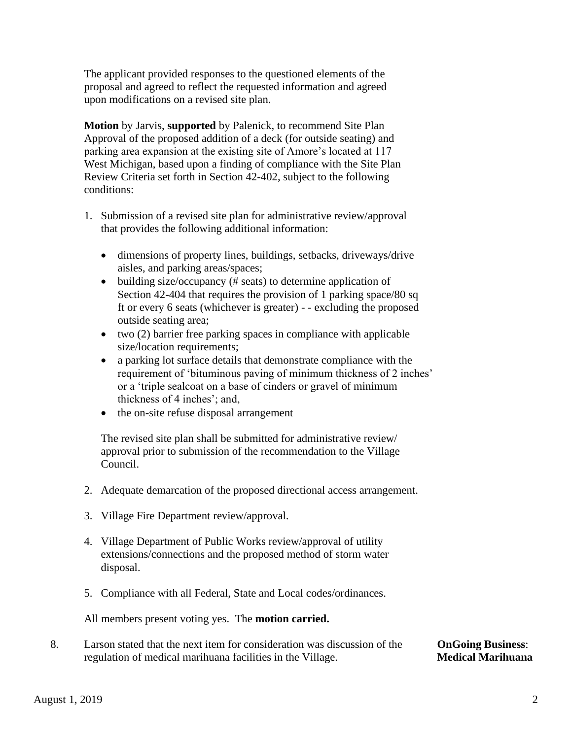The applicant provided responses to the questioned elements of the proposal and agreed to reflect the requested information and agreed upon modifications on a revised site plan.

 **Motion** by Jarvis, **supported** by Palenick, to recommend Site Plan Approval of the proposed addition of a deck (for outside seating) and parking area expansion at the existing site of Amore's located at 117 West Michigan, based upon a finding of compliance with the Site Plan Review Criteria set forth in Section 42-402, subject to the following conditions:

- 1. Submission of a revised site plan for administrative review/approval that provides the following additional information:
	- dimensions of property lines, buildings, setbacks, driveways/drive aisles, and parking areas/spaces;
	- building size/occupancy (# seats) to determine application of Section 42-404 that requires the provision of 1 parking space/80 sq ft or every 6 seats (whichever is greater) - - excluding the proposed outside seating area;
	- two (2) barrier free parking spaces in compliance with applicable size/location requirements;
	- a parking lot surface details that demonstrate compliance with the requirement of 'bituminous paving of minimum thickness of 2 inches' or a 'triple sealcoat on a base of cinders or gravel of minimum thickness of 4 inches'; and,
	- the on-site refuse disposal arrangement

The revised site plan shall be submitted for administrative review/ approval prior to submission of the recommendation to the Village Council.

- 2. Adequate demarcation of the proposed directional access arrangement.
- 3. Village Fire Department review/approval.
- 4. Village Department of Public Works review/approval of utility extensions/connections and the proposed method of storm water disposal.
- 5. Compliance with all Federal, State and Local codes/ordinances.

All members present voting yes. The **motion carried.**

8. Larson stated that the next item for consideration was discussion of the **OnGoing Business**: regulation of medical marihuana facilities in the Village. **Medical Marihuana**